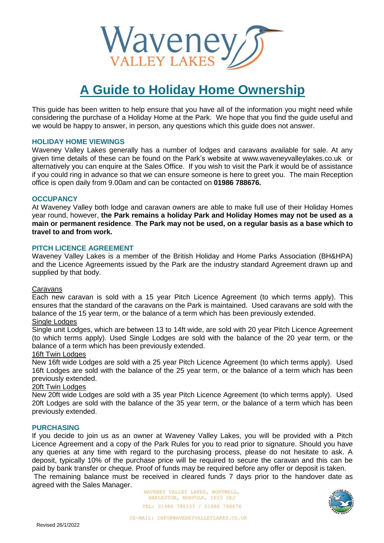

# **A Guide to Holiday Home Ownership**

This guide has been written to help ensure that you have all of the information you might need while considering the purchase of a Holiday Home at the Park. We hope that you find the guide useful and we would be happy to answer, in person, any questions which this guide does not answer.

## **HOLIDAY HOME VIEWINGS**

Waveney Valley Lakes generally has a number of lodges and caravans available for sale. At any given time details of these can be found on the Park's website at www.waveneyvalleylakes.co.uk or alternatively you can enquire at the Sales Office. If you wish to visit the Park it would be of assistance if you could ring in advance so that we can ensure someone is here to greet you. The main Reception office is open daily from 9.00am and can be contacted on **01986 788676.**

## **OCCUPANCY**

At Waveney Valley both lodge and caravan owners are able to make full use of their Holiday Homes year round, however, **the Park remains a holiday Park and Holiday Homes may not be used as a main or permanent residence**. **The Park may not be used, on a regular basis as a base which to travel to and from work.**

## **PITCH LICENCE AGREEMENT**

Waveney Valley Lakes is a member of the British Holiday and Home Parks Association (BH&HPA) and the Licence Agreements issued by the Park are the industry standard Agreement drawn up and supplied by that body.

## Caravans

Each new caravan is sold with a 15 year Pitch Licence Agreement (to which terms apply). This ensures that the standard of the caravans on the Park is maintained. Used caravans are sold with the balance of the 15 year term, or the balance of a term which has been previously extended.

## Single Lodges

Single unit Lodges, which are between 13 to 14ft wide, are sold with 20 year Pitch Licence Agreement (to which terms apply). Used Single Lodges are sold with the balance of the 20 year term, or the balance of a term which has been previously extended.

## 16ft Twin Lodges

New 16ft wide Lodges are sold with a 25 year Pitch Licence Agreement (to which terms apply). Used 16ft Lodges are sold with the balance of the 25 year term, or the balance of a term which has been previously extended.

## 20ft Twin Lodges

New 20ft wide Lodges are sold with a 35 year Pitch Licence Agreement (to which terms apply). Used 20ft Lodges are sold with the balance of the 35 year term, or the balance of a term which has been previously extended.

## **PURCHASING**

If you decide to join us as an owner at Waveney Valley Lakes, you will be provided with a Pitch Licence Agreement and a copy of the Park Rules for you to read prior to signature. Should you have any queries at any time with regard to the purchasing process, please do not hesitate to ask. A deposit, typically 10% of the purchase price will be required to secure the caravan and this can be paid by bank transfer or cheque. Proof of funds may be required before any offer or deposit is taken.

The remaining balance must be received in cleared funds 7 days prior to the handover date as agreed with the Sales Manager.

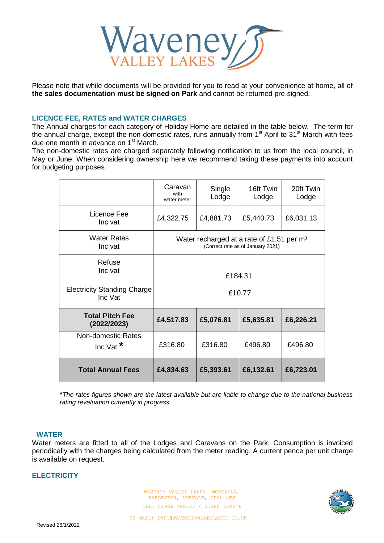

Please note that while documents will be provided for you to read at your convenience at home, all of **the sales documentation must be signed on Park** and cannot be returned pre-signed.

## **LICENCE FEE, RATES and WATER CHARGES**

The Annual charges for each category of Holiday Home are detailed in the table below. The term for the annual charge, except the non-domestic rates, runs annually from  $1<sup>st</sup>$  April to  $31<sup>st</sup>$  March with fees due one month in advance on 1<sup>st</sup> March.

The non-domestic rates are charged separately following notification to us from the local council, in May or June. When considering ownership here we recommend taking these payments into account for budgeting purposes.

|                                               | Caravan<br>with<br>water meter                                                             | Single<br>Lodge | 16ft Twin<br>Lodge | 20ft Twin<br>Lodge |
|-----------------------------------------------|--------------------------------------------------------------------------------------------|-----------------|--------------------|--------------------|
| Licence Fee<br>Inc vat                        | £4,322.75                                                                                  | £4,881.73       | £5,440.73          | £6,031.13          |
| <b>Water Rates</b><br>Inc vat                 | Water recharged at a rate of £1.51 per m <sup>3</sup><br>(Correct rate as of January 2021) |                 |                    |                    |
| Refuse<br>Inc vat                             | £184.31                                                                                    |                 |                    |                    |
| <b>Electricity Standing Charge</b><br>Inc Vat | £10.77                                                                                     |                 |                    |                    |
| <b>Total Pitch Fee</b><br>(2022/2023)         | £4,517.83                                                                                  | £5,076.81       | £5,635.81          | £6,226.21          |
| Non-domestic Rates<br>Inc Vat $*$             | £316.80                                                                                    | £316.80         | £496.80            | £496.80            |
| <b>Total Annual Fees</b>                      | £4,834.63                                                                                  | £5,393.61       | £6,132.61          | £6,723.01          |

**\****The rates figures shown are the latest available but are liable to change due to the national business rating revaluation currently in progress.*

#### **WATER**

Water meters are fitted to all of the Lodges and Caravans on the Park. Consumption is invoiced periodically with the charges being calculated from the meter reading. A current pence per unit charge is available on request.

## **ELECTRICITY**

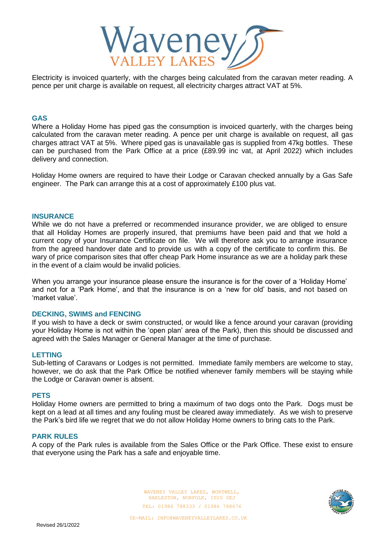

Electricity is invoiced quarterly, with the charges being calculated from the caravan meter reading. A pence per unit charge is available on request, all electricity charges attract VAT at 5%.

#### **GAS**

Where a Holiday Home has piped gas the consumption is invoiced quarterly, with the charges being calculated from the caravan meter reading. A pence per unit charge is available on request, all gas charges attract VAT at 5%. Where piped gas is unavailable gas is supplied from 47kg bottles. These can be purchased from the Park Office at a price (£89.99 inc vat, at April 2022) which includes delivery and connection.

Holiday Home owners are required to have their Lodge or Caravan checked annually by a Gas Safe engineer. The Park can arrange this at a cost of approximately £100 plus vat.

#### **INSURANCE**

While we do not have a preferred or recommended insurance provider, we are obliged to ensure that all Holiday Homes are properly insured, that premiums have been paid and that we hold a current copy of your Insurance Certificate on file. We will therefore ask you to arrange insurance from the agreed handover date and to provide us with a copy of the certificate to confirm this. Be wary of price comparison sites that offer cheap Park Home insurance as we are a holiday park these in the event of a claim would be invalid policies.

When you arrange your insurance please ensure the insurance is for the cover of a 'Holiday Home' and not for a 'Park Home', and that the insurance is on a 'new for old' basis, and not based on 'market value'.

## **DECKING, SWIMS and FENCING**

If you wish to have a deck or swim constructed, or would like a fence around your caravan (providing your Holiday Home is not within the 'open plan' area of the Park), then this should be discussed and agreed with the Sales Manager or General Manager at the time of purchase.

## **LETTING**

Sub-letting of Caravans or Lodges is not permitted. Immediate family members are welcome to stay, however, we do ask that the Park Office be notified whenever family members will be staying while the Lodge or Caravan owner is absent.

#### **PETS**

Holiday Home owners are permitted to bring a maximum of two dogs onto the Park. Dogs must be kept on a lead at all times and any fouling must be cleared away immediately. As we wish to preserve the Park's bird life we regret that we do not allow Holiday Home owners to bring cats to the Park.

#### **PARK RULES**

A copy of the Park rules is available from the Sales Office or the Park Office. These exist to ensure that everyone using the Park has a safe and enjoyable time.